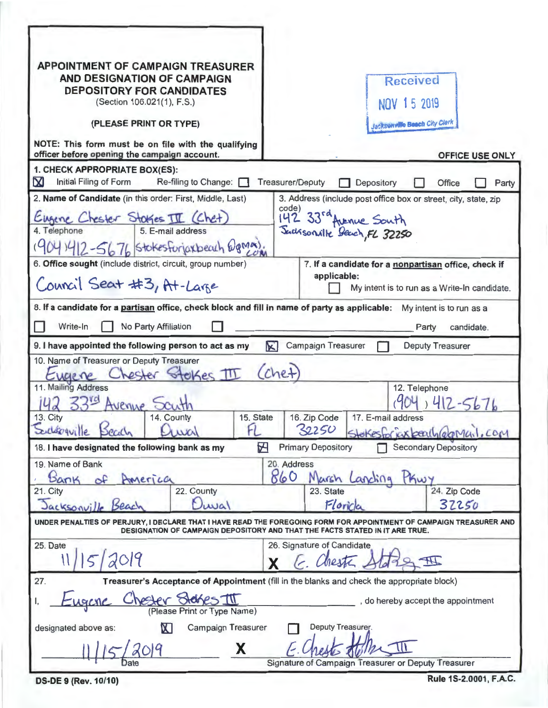| <b>APPOINTMENT OF CAMPAIGN TREASURER</b><br>AND DESIGNATION OF CAMPAIGN<br><b>DEPOSITORY FOR CANDIDATES</b><br>(Section 106.021(1), F.S.)<br>(PLEASE PRINT OR TYPE)<br>NOTE: This form must be on file with the qualifying<br>officer before opening the campaign account. | <b>Received</b><br>NOV 15 2019<br><b>Jacksonville Beach City Clerk</b><br>OFFICE USE ONLY                                                                                                |
|----------------------------------------------------------------------------------------------------------------------------------------------------------------------------------------------------------------------------------------------------------------------------|------------------------------------------------------------------------------------------------------------------------------------------------------------------------------------------|
| 1. CHECK APPROPRIATE BOX(ES):                                                                                                                                                                                                                                              |                                                                                                                                                                                          |
| ${\bf M}$<br>Initial Filing of Form<br>Re-filing to Change:                                                                                                                                                                                                                | <b>Treasurer/Deputy</b><br>Depository<br>Office<br>Party                                                                                                                                 |
| 2. Name of Candidate (in this order: First, Middle, Last)<br>ugene Chester Stokes III (Chet)<br>5. E-mail address<br>4. Telephone<br>041412-5676 Stokesforjaxbeach @gmax).<br>6. Office sought (include district, circuit, group number)                                   | 3. Address (include post office box or street, city, state, zip<br>code)<br>142 33rd Avenue South<br>Suchsonalle Beach, FL 32250<br>7. If a candidate for a nonpartisan office, check if |
|                                                                                                                                                                                                                                                                            | applicable:                                                                                                                                                                              |
| Council Seat #3, At-Large                                                                                                                                                                                                                                                  | My intent is to run as a Write-In candidate.                                                                                                                                             |
| 8. If a candidate for a partisan office, check block and fill in name of party as applicable:<br>My intent is to run as a                                                                                                                                                  |                                                                                                                                                                                          |
| Write-In<br>No Party Affiliation<br>Party<br>candidate.                                                                                                                                                                                                                    |                                                                                                                                                                                          |
| <b>Campaign Treasurer</b><br><b>Deputy Treasurer</b><br>K<br>9. I have appointed the following person to act as my                                                                                                                                                         |                                                                                                                                                                                          |
| 10. Name of Treasurer or Deputy Treasurer<br>hester Stelkes III<br>Eugene<br>11. Mailing Address<br>Avenue<br>13. City<br>14. County<br>Souldogville Sealy<br>FI.<br>wal                                                                                                   | (chet)<br>12. Telephone<br>15. State   16. Zip Code   17. E-mail address<br>32250<br>Stokesfor kix beach (elgMail, com                                                                   |
| 18. I have designated the following bank as my                                                                                                                                                                                                                             | <b>Secondary Depository</b><br>Н<br><b>Primary Depository</b>                                                                                                                            |
| 19. Name of Bank<br>20. Address                                                                                                                                                                                                                                            |                                                                                                                                                                                          |
| Bank<br>AMErica                                                                                                                                                                                                                                                            | 860<br>Kwy<br>Marsh Lanching<br>24. Zip Code                                                                                                                                             |
| 22. County<br>21. City<br>Duwal<br>Jacksonville Seach                                                                                                                                                                                                                      | 23. State<br>Floride<br>32250                                                                                                                                                            |
| UNDER PENALTIES OF PERJURY, I DECLARE THAT I HAVE READ THE FOREGOING FORM FOR APPOINTMENT OF CAMPAIGN TREASURER AND<br>DESIGNATION OF CAMPAIGN DEPOSITORY AND THAT THE FACTS STATED IN IT ARE TRUE.                                                                        |                                                                                                                                                                                          |
| 25. Date<br>11/15/2019                                                                                                                                                                                                                                                     | 26. Signature of Candidate<br>E. Chesta Alda<br>X                                                                                                                                        |
| Treasurer's Acceptance of Appointment (fill in the blanks and check the appropriate block)<br>27.                                                                                                                                                                          |                                                                                                                                                                                          |
| hester Stelses III<br><b>LUGICAC</b><br>do hereby accept the appointment<br>(Please Print or Type Name)                                                                                                                                                                    |                                                                                                                                                                                          |
| $\mathbf X$<br>Deputy Treasurer.<br>Campaign Treasurer<br>designated above as:                                                                                                                                                                                             |                                                                                                                                                                                          |
| X                                                                                                                                                                                                                                                                          | Signature of Campaign Treasurer or Deputy Treasurer                                                                                                                                      |

**DS-DE 9 (Rev. 10/10)** 

Rule 1S-2.0001, F.A.C.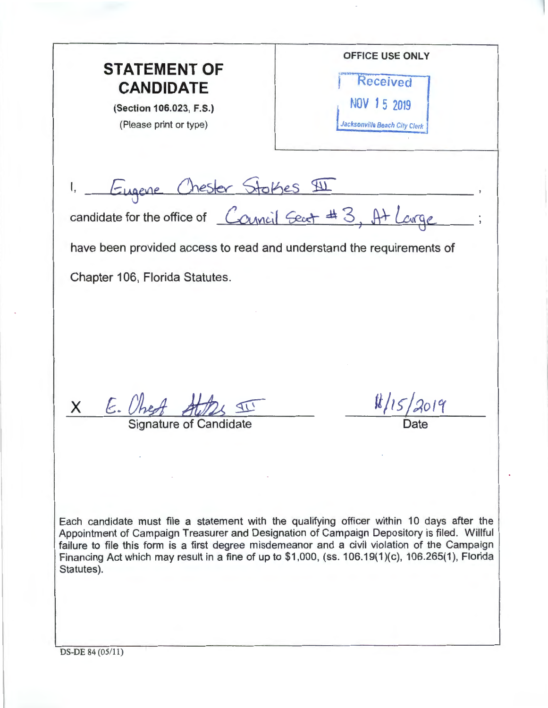OFFICE USE ONLY **STATEMENT OF Received CANDIDATE**  NOV 1 5 2019 (Section 106.023, F.S.) (Please print or type) **Jacksonville Beach City Clerk** 1, Eugene Chester Stothes  $91$ candidate for the office of *Conneil* <del>Seat #3, At</del> *Large.* have been provided access to read and understand the requirements of Chapter 106, Florida Statutes.  $11/15/2019$ X E. Uhest At  $1 \nightharpoonup$ anature of Candidate Each candidate must file a statement with the qualifying officer within 10 days after the Appointment of Campaign Treasurer and Designation of Campaign Depository is filed. Willful failure to file this form is a first degree misdemeanor and a civil violation of the Campaign Financing Act which may result in a fine of up to \$1,000, (ss. 106.19(1)(c), 106.265(1), Florida Statutes).

DS-DE 84 (05/11)